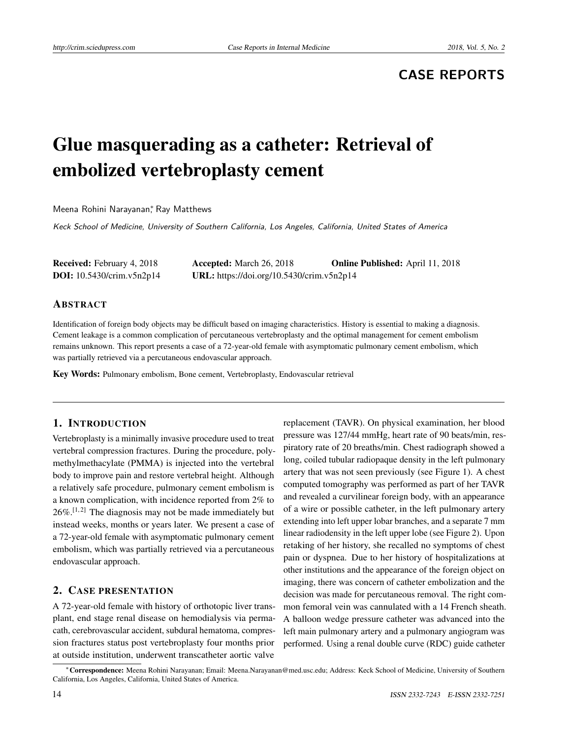## **CASE REPORTS**

# Glue masquerading as a catheter: Retrieval of embolized vertebroplasty cement

Meena Rohini Narayanan, Ray Matthews

Keck School of Medicine, University of Southern California, Los Angeles, California, United States of America

| <b>Received:</b> February 4, 2018  | <b>Accepted:</b> March 26, 2018           | <b>Online Published:</b> April 11, 2018 |
|------------------------------------|-------------------------------------------|-----------------------------------------|
| <b>DOI:</b> $10.5430/crim.v5n2p14$ | URL: https://doi.org/10.5430/crim.v5n2p14 |                                         |

#### ABSTRACT

Identification of foreign body objects may be difficult based on imaging characteristics. History is essential to making a diagnosis. Cement leakage is a common complication of percutaneous vertebroplasty and the optimal management for cement embolism remains unknown. This report presents a case of a 72-year-old female with asymptomatic pulmonary cement embolism, which was partially retrieved via a percutaneous endovascular approach.

Key Words: Pulmonary embolism, Bone cement, Vertebroplasty, Endovascular retrieval

#### 1. INTRODUCTION

Vertebroplasty is a minimally invasive procedure used to treat vertebral compression fractures. During the procedure, polymethylmethacylate (PMMA) is injected into the vertebral body to improve pain and restore vertebral height. Although a relatively safe procedure, pulmonary cement embolism is a known complication, with incidence reported from 2% to  $26\%$ .<sup>[\[1,](#page-2-0)[2\]](#page-2-1)</sup> The diagnosis may not be made immediately but instead weeks, months or years later. We present a case of a 72-year-old female with asymptomatic pulmonary cement embolism, which was partially retrieved via a percutaneous endovascular approach.

#### 2. CASE PRESENTATION

A 72-year-old female with history of orthotopic liver transplant, end stage renal disease on hemodialysis via permacath, cerebrovascular accident, subdural hematoma, compression fractures status post vertebroplasty four months prior at outside institution, underwent transcatheter aortic valve

replacement (TAVR). On physical examination, her blood pressure was 127/44 mmHg, heart rate of 90 beats/min, respiratory rate of 20 breaths/min. Chest radiograph showed a long, coiled tubular radiopaque density in the left pulmonary artery that was not seen previously (see Figure [1\)](#page-1-0). A chest computed tomography was performed as part of her TAVR and revealed a curvilinear foreign body, with an appearance of a wire or possible catheter, in the left pulmonary artery extending into left upper lobar branches, and a separate 7 mm linear radiodensity in the left upper lobe (see Figure [2\)](#page-1-1). Upon retaking of her history, she recalled no symptoms of chest pain or dyspnea. Due to her history of hospitalizations at other institutions and the appearance of the foreign object on imaging, there was concern of catheter embolization and the decision was made for percutaneous removal. The right common femoral vein was cannulated with a 14 French sheath. A balloon wedge pressure catheter was advanced into the left main pulmonary artery and a pulmonary angiogram was performed. Using a renal double curve (RDC) guide catheter

<sup>∗</sup>Correspondence: Meena Rohini Narayanan; Email: Meena.Narayanan@med.usc.edu; Address: Keck School of Medicine, University of Southern California, Los Angeles, California, United States of America.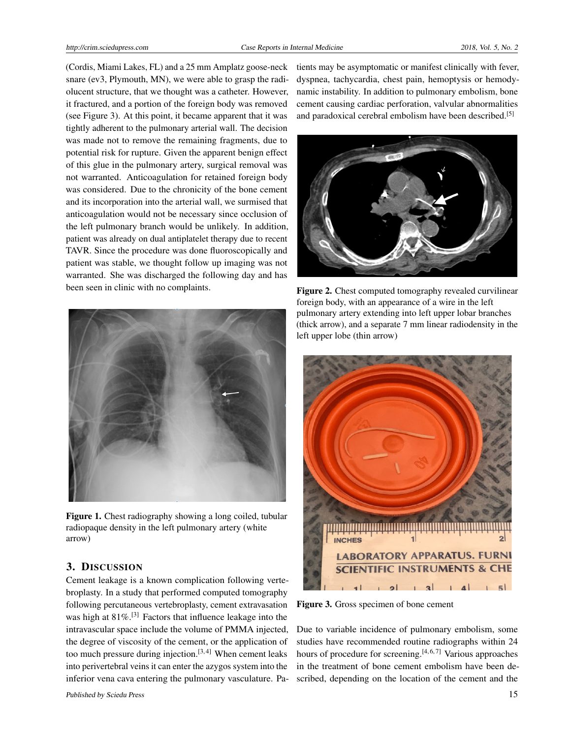(Cordis, Miami Lakes, FL) and a 25 mm Amplatz goose-neck snare (ev3, Plymouth, MN), we were able to grasp the radiolucent structure, that we thought was a catheter. However, it fractured, and a portion of the foreign body was removed (see Figure [3\)](#page-1-2). At this point, it became apparent that it was tightly adherent to the pulmonary arterial wall. The decision was made not to remove the remaining fragments, due to potential risk for rupture. Given the apparent benign effect of this glue in the pulmonary artery, surgical removal was not warranted. Anticoagulation for retained foreign body was considered. Due to the chronicity of the bone cement and its incorporation into the arterial wall, we surmised that anticoagulation would not be necessary since occlusion of the left pulmonary branch would be unlikely. In addition, patient was already on dual antiplatelet therapy due to recent TAVR. Since the procedure was done fluoroscopically and patient was stable, we thought follow up imaging was not warranted. She was discharged the following day and has been seen in clinic with no complaints.



Figure 1. Chest radiography showing a long coiled, tubular radiopaque density in the left pulmonary artery (white arrow)

#### <span id="page-1-0"></span>3. DISCUSSION

Cement leakage is a known complication following vertebroplasty. In a study that performed computed tomography following percutaneous vertebroplasty, cement extravasation was high at  $81\%$ .<sup>[\[3\]](#page-2-2)</sup> Factors that influence leakage into the intravascular space include the volume of PMMA injected, the degree of viscosity of the cement, or the application of too much pressure during injection. $[3, 4]$  $[3, 4]$  $[3, 4]$  When cement leaks into perivertebral veins it can enter the azygos system into the inferior vena cava entering the pulmonary vasculature. Patients may be asymptomatic or manifest clinically with fever, dyspnea, tachycardia, chest pain, hemoptysis or hemodynamic instability. In addition to pulmonary embolism, bone cement causing cardiac perforation, valvular abnormalities and paradoxical cerebral embolism have been described.<sup>[\[5\]](#page-2-4)</sup>



Figure 2. Chest computed tomography revealed curvilinear foreign body, with an appearance of a wire in the left pulmonary artery extending into left upper lobar branches (thick arrow), and a separate 7 mm linear radiodensity in the left upper lobe (thin arrow)

<span id="page-1-1"></span>

Figure 3. Gross specimen of bone cement

<span id="page-1-2"></span>Due to variable incidence of pulmonary embolism, some studies have recommended routine radiographs within 24 hours of procedure for screening.<sup>[\[4,](#page-2-3)[6,](#page-2-5)[7\]](#page-2-6)</sup> Various approaches in the treatment of bone cement embolism have been described, depending on the location of the cement and the